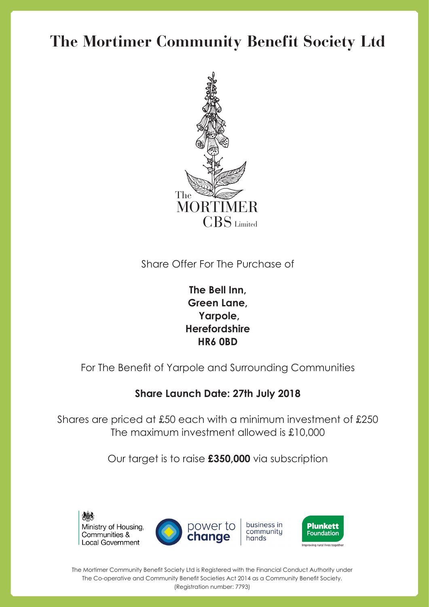## **The Mortimer Community Benefit Society Ltd**



Share Offer For The Purchase of

**The Bell Inn, Green Lane, Yarpole, Herefordshire HR6 0BD**

For The Benefit of Yarpole and Surrounding Communities

## **Share Launch Date: 27th July 2018**

Shares are priced at £50 each with a minimum investment of £250 The maximum investment allowed is £10,000

Our target is to raise **£350,000** via subscription



The Mortimer Community Benefit Society Ltd is Registered with the Financial Conduct Authority under The Co-operative and Community Benefit Societies Act 2014 as a Community Benefit Society. (Registration number: 7793)